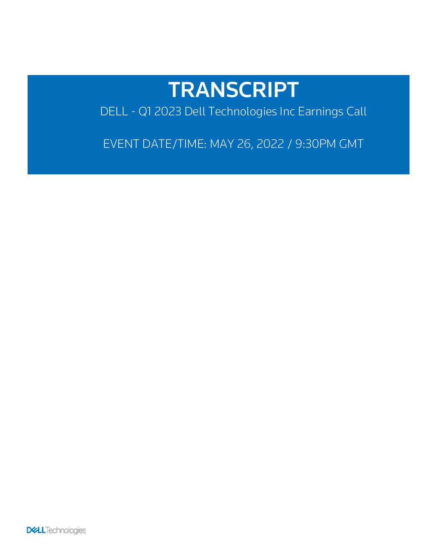# TRANSCRIPT

DELL - Q1 2023 Dell Technologies Inc Earnings Call

EVENT DATE/TIME: MAY 26, 2022 / 9:30PM GMT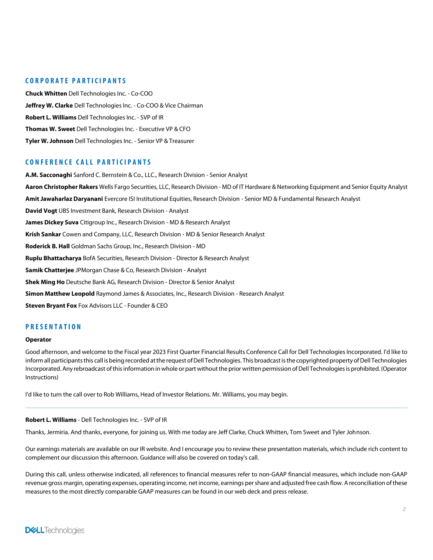## CORPORATE PARTICIPANTS

Chuck Whitten Dell Technologies Inc. - Co-COO Jeffrey W. Clarke Dell Technologies Inc. - Co-COO & Vice Chairman Robert L. Williams Dell Technologies Inc. - SVP of IR Thomas W. Sweet Dell Technologies Inc. - Executive VP & CFO Tyler W. Johnson Dell Technologies Inc. - Senior VP & Treasurer

# CONFERENCE CALL PARTICIPANTS

A.M. Sacconaghi Sanford C. Bernstein & Co., LLC., Research Division - Senior Analyst Aaron Christopher Rakers Wells Fargo Securities, LLC, Research Division - MD of IT Hardware & Networking Equipment and Senior Equity Analyst Amit Jawaharlaz Daryanani Evercore ISI Institutional Equities, Research Division - Senior MD & Fundamental Research Analyst David Vogt UBS Investment Bank, Research Division - Analyst James Dickey Suva Citigroup Inc., Research Division - MD & Research Analyst Krish Sankar Cowen and Company, LLC, Research Division - MD & Senior Research Analyst Roderick B. Hall Goldman Sachs Group, Inc., Research Division - MD Ruplu Bhattacharya BofA Securities, Research Division - Director & Research Analyst Samik Chatterjee JPMorgan Chase & Co, Research Division - Analyst Shek Ming Ho Deutsche Bank AG, Research Division - Director & Senior Analyst Simon Matthew Leopold Raymond James & Associates, Inc., Research Division - Research Analyst Steven Bryant Fox Fox Advisors LLC - Founder & CEO

# PRESENTATION

#### **Operator**

Good afternoon, and welcome to the Fiscal year 2023 First Quarter Financial Results Conference Call for Dell Technologies Incorporated. I'd like to inform all participants this call is being recorded at the request of Dell Technologies. This broadcast is the copyrighted property of Dell Technologies Incorporated. Any rebroadcast of this information in whole or part without the prior written permission of Dell Technologies is prohibited. (Operator Instructions)

I'd like to turn the call over to Rob Williams, Head of Investor Relations. Mr. Williams, you may begin.

#### Robert L. Williams - Dell Technologies Inc. - SVP of IR

Thanks, Jermiria. And thanks, everyone, for joining us. With me today are Jeff Clarke, Chuck Whitten, Tom Sweet and Tyler Johnson.

Our earnings materials are available on our IR website. And I encourage you to review these presentation materials, which include rich content to complement our discussion this afternoon. Guidance will also be covered on today's call.

During this call, unless otherwise indicated, all references to financial measures refer to non-GAAP financial measures, which include non-GAAP revenue gross margin, operating expenses, operating income, netincome, earnings pershare and adjusted free cash flow. A reconciliation of these measures to the most directly comparable GAAP measures can be found in our web deck and press release.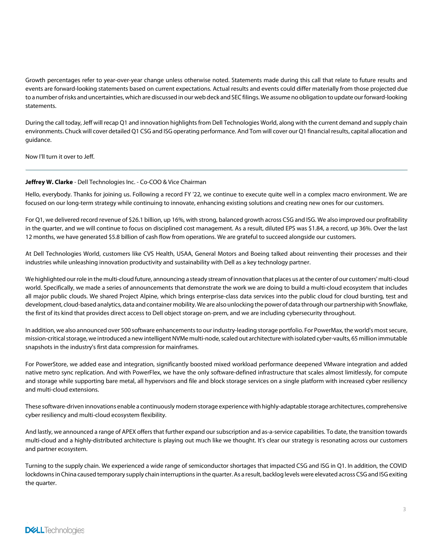Growth percentages refer to year-over-year change unless otherwise noted. Statements made during this call that relate to future results and events are forward-looking statements based on current expectations. Actual results and events could differ materially from those projected due to a number ofrisks and uncertainties, which are discussed in our web deck and SEC filings. We assume no obligation to update ourforward-looking statements.

During the call today, Jeff will recap Q1 and innovation highlights from Dell Technologies World, along with the current demand and supply chain environments. Chuck will cover detailedQ1 CSG and ISG operating performance. And Tom will cover our Q1 financial results, capital allocation and guidance.

Now I'll turn it over to Jeff.

# Jeffrey W. Clarke - Dell Technologies Inc. - Co-COO & Vice Chairman

Hello, everybody. Thanks for joining us. Following a record FY '22, we continue to execute quite well in a complex macro environment. We are focused on our long-term strategy while continuing to innovate, enhancing existing solutions and creating new ones for our customers.

For Q1, we delivered record revenue of \$26.1 billion, up 16%, with strong, balanced growth across CSG and ISG. We also improved our profitability in the quarter, and we will continue to focus on disciplined cost management. As a result, diluted EPS was \$1.84, a record, up 36%. Over the last 12 months, we have generated \$5.8 billion of cash flow from operations. We are grateful to succeed alongside our customers.

At Dell Technologies World, customers like CVS Health, USAA, General Motors and Boeing talked about reinventing their processes and their industries while unleashing innovation productivity and sustainability with Dell as a key technology partner.

We highlighted ourrole in the multi-cloud future, announcing a steady stream of innovation that places us atthe center of our customers' multi-cloud world. Specifically, we made a series of announcements that demonstrate the work we are doing to build a multi-cloud ecosystem that includes all major public clouds. We shared Project Alpine, which brings enterprise-class data services into the public cloud for cloud bursting, test and development, cloud-based analytics, data and container mobility. We are also unlocking the power of data through our partnershipwith Snowflake, the first of its kind that provides direct access to Dell object storage on-prem, and we are including cybersecurity throughout.

In addition, we also announced over 500 software enhancements to our industry-leading storage portfolio. For PowerMax, the world's most secure, mission-critical storage, we introduced a new intelligent NVMe multi-node, scaled out architecture with isolated cyber-vaults, 65 million immutable snapshots in the industry's first data compression for mainframes.

For PowerStore, we added ease and integration, significantly boosted mixed workload performance deepened VMware integration and added native metro sync replication. And with PowerFlex, we have the only software-defined infrastructure that scales almost limitlessly, for compute and storage while supporting bare metal, all hypervisors and file and block storage services on a single platform with increased cyber resiliency and multi-cloud extensions.

These software-driven innovations enable a continuously modern storage experience with highly-adaptable storage architectures, comprehensive cyber resiliency and multi-cloud ecosystem flexibility.

And lastly, we announced a range of APEX offers that further expand our subscription and as-a-service capabilities. To date, the transition towards multi-cloud and a highly-distributed architecture is playing out much like we thought. It's clear our strategy is resonating across our customers and partner ecosystem.

Turning to the supply chain. We experienced a wide range of semiconductor shortages that impacted CSG and ISG in Q1. In addition, the COVID lockdowns in China caused temporary supply chain interruptions in the quarter. As a result, backlog levels were elevated across CSG and ISG exiting the quarter.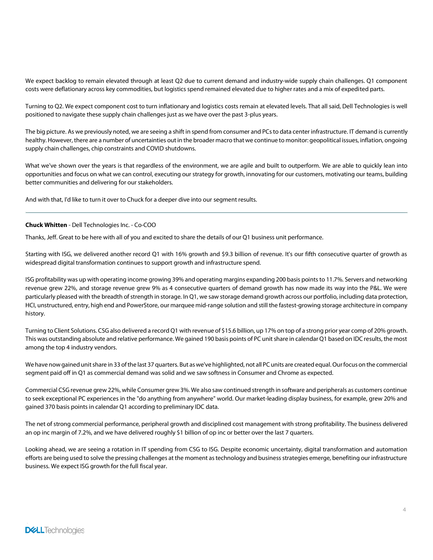We expect backlog to remain elevated through at least Q2 due to current demand and industry-wide supply chain challenges. Q1 component costs were deflationary across key commodities, but logistics spend remained elevated due to higher rates and a mix of expedited parts.

Turning to Q2. We expect component cost to turn inflationary and logistics costs remain at elevated levels. That all said, Dell Technologies is well positioned to navigate these supply chain challenges just as we have over the past 3-plus years.

The big picture. As we previously noted, we are seeing a shift in spend from consumer and PCs to data center infrastructure. IT demand is currently healthy. However, there are a number of uncertainties out in the broader macro that we continue to monitor: geopolitical issues, inflation, ongoing supply chain challenges, chip constraints and COVID shutdowns.

What we've shown over the years is that regardless of the environment, we are agile and built to outperform. We are able to quickly lean into opportunities and focus on what we can control, executing our strategy for growth, innovating for our customers, motivating our teams, building better communities and delivering for our stakeholders.

And with that, I'd like to turn it over to Chuck for a deeper dive into our segment results.

# Chuck Whitten - Dell Technologies Inc. - Co-COO

Thanks, Jeff. Great to be here with all of you and excited to share the details of our Q1 business unit performance.

Starting with ISG, we delivered another record Q1 with 16% growth and \$9.3 billion of revenue. It's our fifth consecutive quarter of growth as widespread digital transformation continues to support growth and infrastructure spend.

ISG profitability was up with operating income growing 39% and operating margins expanding 200 basis points to 11.7%. Servers and networking revenue grew 22%, and storage revenue grew 9% as 4 consecutive quarters of demand growth has now made its way into the P&L. We were particularly pleased with the breadth of strength in storage. In Q1, we saw storage demand growth across our portfolio, including data protection, HCI, unstructured, entry, high end and PowerStore, our marquee mid-range solution and still the fastest-growing storage architecture in company history.

Turning to Client Solutions. CSG also delivered a record Q1 with revenue of \$15.6 billion, up 17% on top of a strong prior year comp of 20% growth. This was outstanding absolute and relative performance. We gained 190 basis points of PC unit share in calendar Q1 based on IDC results, the most among the top 4 industry vendors.

We have now gained unit share in 33 of the last 37 quarters. But as we've highlighted, not all PC units are created equal. Our focus on the commercial segment paid off in Q1 as commercial demand was solid and we saw softness in Consumer and Chrome as expected.

Commercial CSGrevenue grew 22%, while Consumer grew 3%. We also saw continued strength in software and peripherals as customers continue to seek exceptional PC experiences in the "do anything from anywhere" world. Our market-leading display business, for example, grew 20% and gained 370 basis points in calendar Q1 according to preliminary IDC data.

The net of strong commercial performance, peripheral growth and disciplined cost management with strong profitability. The business delivered an op inc margin of 7.2%, and we have delivered roughly \$1 billion of op inc or better over the last 7 quarters.

Looking ahead, we are seeing a rotation in IT spending from CSG to ISG. Despite economic uncertainty, digital transformation and automation efforts are being used to solve the pressing challenges at the moment astechnology and businessstrategies emerge, benefiting our infrastructure business. We expect ISG growth for the full fiscal year.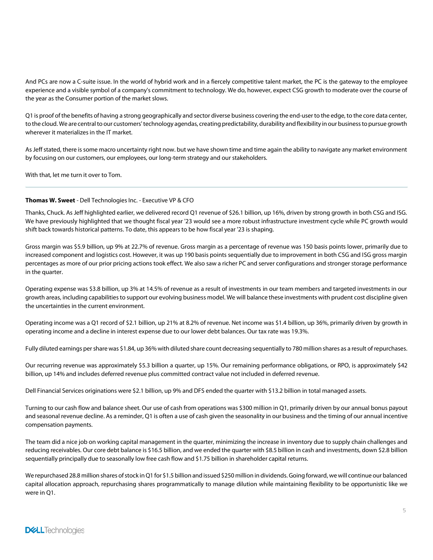And PCs are now a C-suite issue. In the world of hybrid work and in a fiercely competitive talent market, the PC is the gateway to the employee experience and a visible symbol of a company's commitment to technology. We do, however, expect CSG growth to moderate over the course of the year as the Consumer portion of the market slows.

Q1 is proof ofthe benefits of having a strong geographically and sector diverse business covering the end-user to the edge, to the core data center, to the cloud. We are central to our customers' technology agendas, creating predictability, durability and flexibility in our business to pursue growth wherever it materializes in the IT market.

As Jeff stated, there is some macro uncertainty right now. but we have shown time and time again the ability to navigate any market environment by focusing on our customers, our employees, our long-term strategy and our stakeholders.

With that, let me turn it over to Tom.

## Thomas W. Sweet - Dell Technologies Inc. - Executive VP & CFO

Thanks, Chuck. As Jeff highlighted earlier, we delivered record Q1 revenue of \$26.1 billion, up 16%, driven by strong growth in both CSG and ISG. We have previously highlighted that we thought fiscal year '23 would see a more robust infrastructure investment cycle while PC growth would shift back towards historical patterns. To date, this appears to be how fiscal year '23 is shaping.

Gross margin was \$5.9 billion, up 9% at 22.7% of revenue. Gross margin as a percentage of revenue was 150 basis points lower, primarily due to increased component and logistics cost. However, it was up 190 basis points sequentially due to improvement in both CSG and ISG gross margin percentages as more of our prior pricing actions took effect. We also saw a richer PC and server configurations and stronger storage performance in the quarter.

Operating expense was \$3.8 billion, up 3% at 14.5% of revenue as a result of investments in our team members and targeted investments in our growth areas, including capabilitiesto support our evolving business model. We will balance these investments with prudent cost discipline given the uncertainties in the current environment.

Operating income was a Q1 record of \$2.1 billion, up 21% at 8.2% of revenue. Net income was \$1.4 billion, up 36%, primarily driven by growth in operating income and a decline in interest expense due to our lower debt balances. Our tax rate was 19.3%.

Fully diluted earnings pershare was \$1.84, up 36% with diluted share count decreasing sequentially to 780 million shares as a result of repurchases.

Our recurring revenue was approximately \$5.3 billion a quarter, up 15%. Our remaining performance obligations, or RPO, is approximately \$42 billion, up 14% and includes deferred revenue plus committed contract value not included in deferred revenue.

Dell Financial Services originations were \$2.1 billion, up 9% and DFS ended the quarter with \$13.2 billion in total managed assets.

Turning to our cash flow and balance sheet. Our use of cash from operations was \$300 million in Q1, primarily driven by our annual bonus payout and seasonal revenue decline. As a reminder, Q1 is often a use of cash given the seasonality in our business and the timing of our annual incentive compensation payments.

The team did a nice job on working capital management in the quarter, minimizing the increase in inventory due to supply chain challenges and reducing receivables. Our core debt balance is \$16.5 billion, and we ended the quarter with \$8.5 billion in cash and investments, down \$2.8 billion sequentially principally due to seasonally low free cash flow and \$1.75 billion in shareholder capital returns.

We repurchased 28.8 million shares of stock in Q1 for \$1.5 billion and issued \$250 million in dividends. Going forward, we will continue our balanced capital allocation approach, repurchasing shares programmatically to manage dilution while maintaining flexibility to be opportunistic like we were in Q1.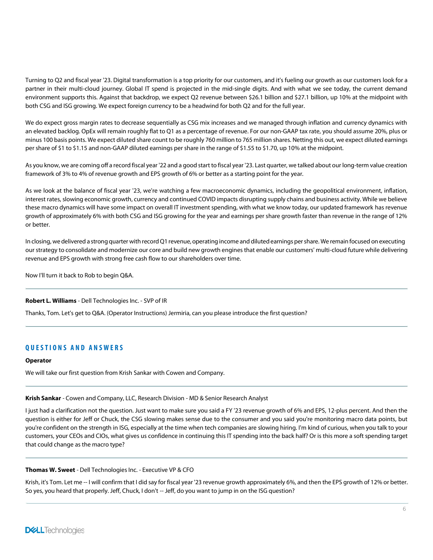Turning to Q2 and fiscal year '23. Digital transformation is a top priority for our customers, and it's fueling our growth as our customers look for a partner in their multi-cloud journey. Global IT spend is projected in the mid-single digits. And with what we see today, the current demand environment supports this. Against that backdrop, we expect Q2 revenue between \$26.1 billion and \$27.1 billion, up 10% at the midpoint with both CSG and ISG growing. We expect foreign currency to be a headwind for both Q2 and for the full year.

We do expect gross margin rates to decrease sequentially as CSG mix increases and we managed through inflation and currency dynamics with an elevated backlog. OpEx will remain roughly flat to Q1 as a percentage of revenue. For our non-GAAP tax rate, you should assume 20%, plus or minus 100 basis points. We expect diluted share count to be roughly 760 million to 765 million shares. Netting this out, we expect diluted earnings per share of \$1 to \$1.15 and non-GAAP diluted earnings per share in the range of \$1.55 to \$1.70, up 10% at the midpoint.

As you know, we are coming off a record fiscal year '22 and a good start to fiscal year '23. Last quarter, we talked about our long-term value creation framework of 3% to 4% of revenue growth and EPS growth of 6% or better as a starting point for the year.

As we look at the balance of fiscal year '23, we're watching a few macroeconomic dynamics, including the geopolitical environment, inflation, interest rates, slowing economic growth, currency and continued COVID impacts disrupting supply chains and business activity. While we believe these macro dynamics will have some impact on overall IT investment spending, with what we know today, our updated framework has revenue growth of approximately 6% with both CSG and ISG growing for the year and earnings per share growth faster than revenue in the range of 12% or better.

In closing, we delivered a strongquarter with recordQ1 revenue, operating income and dilutedearnings pershare. We remain focused on executing our strategy to consolidate and modernize our core and build new growth engines that enable our customers' multi-cloud future while delivering revenue and EPS growth with strong free cash flow to our shareholders over time.

Now I'll turn it back to Rob to begin Q&A.

# Robert L. Williams - Dell Technologies Inc. - SVP of IR

Thanks, Tom. Let's get to Q&A. (Operator Instructions) Jermiria, can you please introduce the first question?

# **QUESTIONS AND ANSWERS**

# **Operator**

We will take our first question from Krish Sankar with Cowen and Company.

# Krish Sankar - Cowen and Company, LLC, Research Division - MD & Senior Research Analyst

I just had a clarification not the question. Just want to make sure you said a FY '23 revenue growth of 6% and EPS, 12-plus percent. And then the question is either for Jeff or Chuck, the CSG slowing makes sense due to the consumer and you said you're monitoring macro data points, but you're confident on the strength in ISG, especially at the time when tech companies are slowing hiring. I'm kind of curious, when you talk to your customers, your CEOs and CIOs, what gives us confidence in continuing this IT spending into the back half? Or is this more a soft spending target that could change as the macro type?

# Thomas W. Sweet - Dell Technologies Inc. - Executive VP & CFO

Krish, it's Tom. Let me -- I will confirm that I did say for fiscal year '23 revenue growth approximately 6%, and then the EPS growth of 12% or better. So yes, you heard that properly. Jeff, Chuck, I don't -- Jeff, do you want to jump in on the ISG question?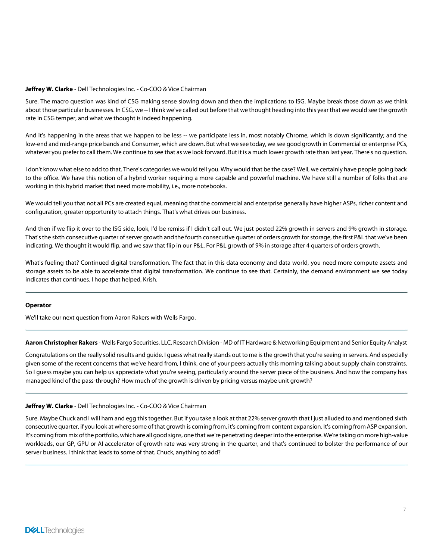#### Jeffrey W. Clarke - Dell Technologies Inc. - Co-COO & Vice Chairman

Sure. The macro question was kind of CSG making sense slowing down and then the implications to ISG. Maybe break those down as we think about those particular businesses. In CSG, we -- Ithink we've called out before that we thought heading into this year that we would see the growth rate in CSG temper, and what we thought is indeed happening.

And it's happening in the areas that we happen to be less -- we participate less in, most notably Chrome, which is down significantly; and the low-end and mid-range price bands and Consumer, which are down. But what we see today, we see good growth in Commercial or enterprise PCs, whatever you prefer to call them. We continue to see that as we look forward. But it is a much lower growth rate than last year. There's no question.

I don't know what else to add to that. There's categories we would tell you. Why would that be the case? Well, we certainly have people going back to the office. We have this notion of a hybrid worker requiring a more capable and powerful machine. We have still a number of folks that are working in this hybrid market that need more mobility, i.e., more notebooks.

We would tell you that not all PCs are created equal, meaning that the commercial and enterprise generally have higher ASPs, richer content and configuration, greater opportunity to attach things. That's what drives our business.

And then if we flip it over to the ISG side, look, I'd be remiss if I didn't call out. We just posted 22% growth in servers and 9% growth in storage. That's the sixth consecutive quarter of server growth and the fourth consecutive quarter of orders growth for storage, the first P&L that we've been indicating. We thought it would flip, and we saw that flip in our P&L. For P&L growth of 9% in storage after 4 quarters of orders growth.

What's fueling that? Continued digital transformation. The fact that in this data economy and data world, you need more compute assets and storage assets to be able to accelerate that digital transformation. We continue to see that. Certainly, the demand environment we see today indicates that continues. I hope that helped, Krish.

#### **Operator**

We'll take our next question from Aaron Rakers with Wells Fargo.

Aaron Christopher Rakers - Wells Fargo Securities, LLC, Research Division - MD of IT Hardware & Networking Equipment and Senior Equity Analyst

Congratulations on the really solid results and guide. I guess what really stands out to me is the growth that you're seeing in servers. And especially given some of the recent concerns that we've heard from, I think, one of your peers actually this morning talking about supply chain constraints. So I guess maybe you can help us appreciate what you're seeing, particularly around the server piece of the business. And how the company has managed kind of the pass-through? How much of the growth is driven by pricing versus maybe unit growth?

#### Jeffrey W. Clarke - Dell Technologies Inc. - Co-COO & Vice Chairman

Sure. Maybe Chuck and I will ham and egg thistogether. But if you take a look at that 22% server growth that I just alluded to and mentioned sixth consecutive quarter, if you look at where some of that growth is coming from, it's coming from content expansion. It's coming from ASP expansion. It's coming from mix ofthe portfolio, which are all good signs, one that we're penetrating deeperinto the enterprise. We're taking on more high-value workloads, our GP, GPU or AI accelerator of growth rate was very strong in the quarter, and that's continued to bolster the performance of our server business. I think that leads to some of that. Chuck, anything to add?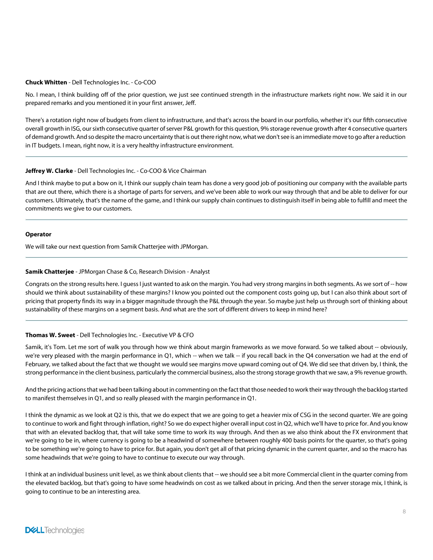#### Chuck Whitten - Dell Technologies Inc. - Co-COO

No. I mean, I think building off of the prior question, we just see continued strength in the infrastructure markets right now. We said it in our prepared remarks and you mentioned it in your first answer, Jeff.

There's a rotation right now of budgets from client to infrastructure, and that's across the board in our portfolio, whether it's our fifth consecutive overall growth in ISG, our sixth consecutive quarter of server P&L growth for this question, 9% storage revenue growth after 4 consecutive quarters of demand growth. And so despite the macro uncertainty that is out there right now, what we don't see is an immediate move to go after a reduction in IT budgets. I mean, right now, it is a very healthy infrastructure environment.

## Jeffrey W. Clarke - Dell Technologies Inc. - Co-COO & Vice Chairman

And I think maybe to put a bow on it, I think our supply chain team has done a very good job of positioning our company with the available parts that are out there, which there is a shortage of parts for servers, and we've been able to work our way through that and be able to deliver for our customers. Ultimately, that's the name of the game, and I think our supply chain continues to distinguish itself in being able to fulfill and meet the commitments we give to our customers.

#### **Operator**

We will take our next question from Samik Chatterjee with JPMorgan.

## Samik Chatterjee - JPMorgan Chase & Co, Research Division - Analyst

Congrats on the strong results here. I guess I just wanted to ask on the margin. You had very strong margins in both segments. As we sort of -- how should we think about sustainability of these margins? I know you pointed out the component costs going up, but I can also think about sort of pricing that property finds its way in a bigger magnitude through the P&L through the year. So maybe just help us through sort of thinking about sustainability of these margins on a segment basis. And what are the sort of different drivers to keep in mind here?

# Thomas W. Sweet - Dell Technologies Inc. - Executive VP & CFO

Samik, it's Tom. Let me sort of walk you through how we think about margin frameworks as we move forward. So we talked about -- obviously, we're very pleased with the margin performance in Q1, which -- when we talk -- if you recall back in the Q4 conversation we had at the end of February, we talked about the fact that we thought we would see margins move upward coming out of Q4. We did see that driven by, I think, the strong performance in the client business, particularly the commercial business, also the strong storage growth that we saw, a 9% revenue growth.

And the pricing actions that we had been talking about in commenting on the fact that those needed to work their way through the backlog started to manifest themselves in Q1, and so really pleased with the margin performance in Q1.

I think the dynamic as we look at Q2 is this, that we do expect that we are going to get a heavier mix of CSG in the second quarter. We are going to continue to work and fight through inflation, right? So we do expect higher overall input cost in Q2, which we'll have to price for. And you know that with an elevated backlog that, that will take some time to work its way through. And then as we also think about the FX environment that we're going to be in, where currency is going to be a headwind of somewhere between roughly 400 basis points for the quarter, so that's going to be something we're going to have to price for. But again, you don't get all of that pricing dynamic in the current quarter, and so the macro has some headwinds that we're going to have to continue to execute our way through.

I think at an individual business unit level, as we think about clients that -- we should see a bit more Commercial client in the quarter coming from the elevated backlog, but that's going to have some headwinds on cost as we talked about in pricing. And then the server storage mix, I think, is going to continue to be an interesting area.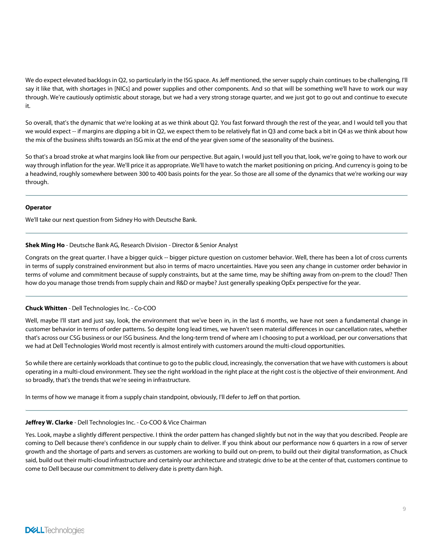We do expect elevated backlogs in Q2, so particularly in the ISG space. As Jeff mentioned, the server supply chain continues to be challenging, I'll say it like that, with shortages in [NICs] and power supplies and other components. And so that will be something we'll have to work our way through. We're cautiously optimistic about storage, but we had a very strong storage quarter, and we just got to go out and continue to execute it.

So overall, that's the dynamic that we're looking at as we think about Q2. You fast forward through the rest of the year, and I would tell you that we would expect -- if margins are dipping a bit in Q2, we expect them to be relatively flat in Q3 and come back a bit in Q4 as we think about how the mix of the business shifts towards an ISG mix at the end of the year given some of the seasonality of the business.

So that's a broad stroke at what margins look like from our perspective. But again, I would just tell you that, look, we're going to have to work our way through inflation for the year. We'll price it as appropriate. We'll have to watch the market positioning on pricing. And currency is going to be a headwind, roughly somewhere between 300 to 400 basis points for the year. So those are all some of the dynamics that we're working our way through.

## Operator

We'll take our next question from Sidney Ho with Deutsche Bank.

## Shek Ming Ho - Deutsche Bank AG, Research Division - Director & Senior Analyst

Congrats on the great quarter. I have a bigger quick -- bigger picture question on customer behavior. Well, there has been a lot of cross currents in terms of supply constrained environment but also in terms of macro uncertainties. Have you seen any change in customer order behavior in terms of volume and commitment because of supply constraints, but at the same time, may be shifting away from on-prem to the cloud? Then how do you manage those trends from supply chain and R&D or maybe? Just generally speaking OpEx perspective for the year.

# Chuck Whitten - Dell Technologies Inc. - Co-COO

Well, maybe I'll start and just say, look, the environment that we've been in, in the last 6 months, we have not seen a fundamental change in customer behavior in terms of order patterns. So despite long lead times, we haven't seen material differences in our cancellation rates, whether that's across our CSG business or our ISG business. And the long-term trend of where am I choosing to put a workload, per our conversations that we had at Dell Technologies World most recently is almost entirely with customers around the multi-cloud opportunities.

So while there are certainly workloads that continue to go to the public cloud, increasingly, the conversation that we have with customers is about operating in a multi-cloud environment. They see the right workload in the right place at the right cost is the objective of their environment. And so broadly, that's the trends that we're seeing in infrastructure.

In terms of how we manage it from a supply chain standpoint, obviously, I'll defer to Jeff on that portion.

# Jeffrey W. Clarke - Dell Technologies Inc. - Co-COO & Vice Chairman

Yes. Look, maybe a slightly different perspective. I think the order pattern has changed slightly but not in the way that you described. People are coming to Dell because there's confidence in our supply chain to deliver. If you think about our performance now 6 quarters in a row of server growth and the shortage of parts and servers as customers are working to build out on-prem, to build out their digital transformation, as Chuck said, build out their multi-cloud infrastructure and certainly our architecture and strategic drive to be at the center of that, customers continue to come to Dell because our commitment to delivery date is pretty darn high.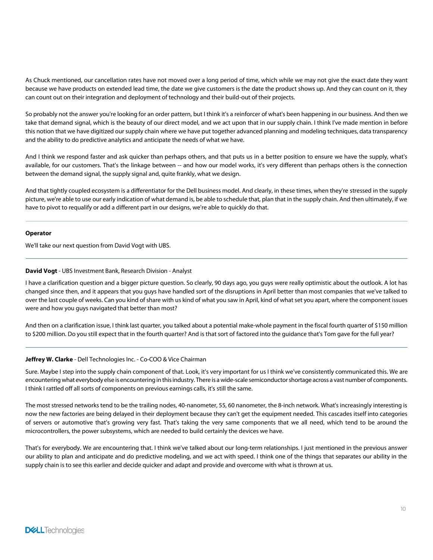As Chuck mentioned, our cancellation rates have not moved over a long period of time, which while we may not give the exact date they want because we have products on extended lead time, the date we give customers is the date the product shows up. And they can count on it, they can count out on their integration and deployment of technology and their build-out of their projects.

So probably not the answer you're looking for an order pattern, but I think it's a reinforcer of what's been happening in our business. And then we take that demand signal, which is the beauty of our direct model, and we act upon that in our supply chain. I think I've made mention in before this notion that we have digitized our supply chain where we have put together advanced planning and modeling techniques, data transparency and the ability to do predictive analytics and anticipate the needs of what we have.

And I think we respond faster and ask quicker than perhaps others, and that puts us in a better position to ensure we have the supply, what's available, for our customers. That's the linkage between -- and how our model works, it's very different than perhaps others is the connection between the demand signal, the supply signal and, quite frankly, what we design.

And that tightly coupled ecosystem is a differentiator for the Dell business model. And clearly, in these times, when they're stressed in the supply picture, we're able to use our early indication of what demand is, be able to schedule that, plan that in the supply chain. And then ultimately, if we have to pivot to requalify or add a different part in our designs, we're able to quickly do that.

## **Operator**

We'll take our next question from David Vogt with UBS.

## David Vogt - UBS Investment Bank, Research Division - Analyst

I have a clarification question and a bigger picture question. So clearly, 90 days ago, you guys were really optimistic about the outlook. A lot has changed since then, and it appears that you guys have handled sort of the disruptions in April better than most companies that we've talked to over the last couple of weeks. Can you kind of share with us kind of what you saw in April, kind of what set you apart, where the component issues were and how you guys navigated that better than most?

And then on a clarification issue, I think last quarter, you talked about a potential make-whole payment in the fiscal fourth quarter of \$150 million to \$200 million. Do you still expect that in the fourth quarter? And is that sort of factored into the guidance that's Tom gave for the full year?

#### Jeffrey W. Clarke - Dell Technologies Inc. - Co-COO & Vice Chairman

Sure. Maybe I step into the supply chain component of that. Look, it's very important for us I think we've consistently communicated this. We are encountering what everybody else is encountering in this industry. There is a wide-scale semiconductor shortage across a vast number of components. I think I rattled off all sorts of components on previous earnings calls, it's still the same.

The most stressed networks tend to be the trailing nodes, 40-nanometer, 55, 60 nanometer, the 8-inch network. What's increasingly interesting is now the new factories are being delayed in their deployment because they can't get the equipment needed. This cascades itself into categories of servers or automotive that's growing very fast. That's taking the very same components that we all need, which tend to be around the microcontrollers, the power subsystems, which are needed to build certainly the devices we have.

That's for everybody. We are encountering that. I think we've talked about our long-term relationships. I just mentioned in the previous answer our ability to plan and anticipate and do predictive modeling, and we act with speed. I think one of the things that separates our ability in the supply chain is to see this earlier and decide quicker and adapt and provide and overcome with what is thrown at us.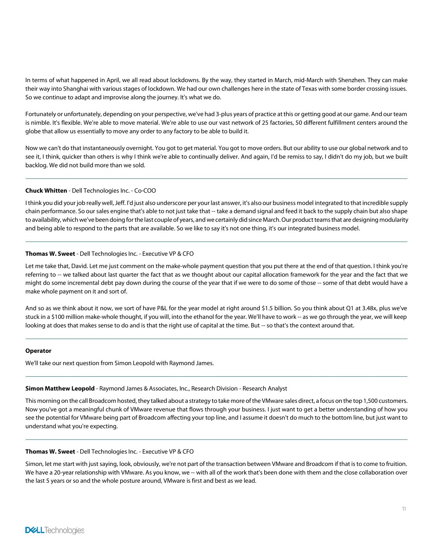In terms of what happened in April, we all read about lockdowns. By the way, they started in March, mid-March with Shenzhen. They can make their way into Shanghai with various stages of lockdown. We had our own challenges here in the state of Texas with some border crossing issues. So we continue to adapt and improvise along the journey. It's what we do.

Fortunately or unfortunately, depending on your perspective, we've had 3-plus years of practice atthis or getting good at our game. And our team is nimble. It's flexible. We're able to move material. We're able to use our vast network of 25 factories, 50 different fulfillment centers around the globe that allow us essentially to move any order to any factory to be able to build it.

Now we can't do that instantaneously overnight. You got to get material. You got to move orders. But our ability to use our global network and to see it, I think, quicker than others is why I think we're able to continually deliver. And again, I'd be remiss to say, I didn't do my job, but we built backlog. We did not build more than we sold.

# Chuck Whitten - Dell Technologies Inc. - Co-COO

I think you did your job really well, Jeff. I'd just also underscore per your last answer, it's also our business model integrated to that incredible supply chain performance. So our sales engine that's able to not just take that -- take a demand signal and feed it back to the supply chain but also shape to availability, which we've been doing for the last couple of years, and we certainly did since March. Our product teams that are designing modularity and being able to respond to the parts that are available. So we like to say it's not one thing, it's our integrated business model.

## Thomas W. Sweet - Dell Technologies Inc. - Executive VP & CFO

Let me take that, David. Let me just comment on the make-whole payment question that you put there at the end of that question. I think you're referring to -- we talked about last quarter the fact that as we thought about our capital allocation framework for the year and the fact that we might do some incremental debt pay down during the course of the year that if we were to do some of those -- some of that debt would have a make whole payment on it and sort of.

And so as we think about it now, we sort of have P&L for the year model at right around \$1.5 billion. So you think about Q1 at 3.48x, plus we've stuck in a \$100 million make-whole thought, if you will, into the ethanol for the year. We'll have to work -- as we go through the year, we will keep looking at does that makes sense to do and is that the right use of capital at the time. But -- so that's the context around that.

#### Operator

We'll take our next question from Simon Leopold with Raymond James.

#### Simon Matthew Leopold - Raymond James & Associates, Inc., Research Division - Research Analyst

This morning on the call Broadcom hosted, they talked about a strategy to take more ofthe VMware sales direct, a focus on the top 1,500 customers. Now you've got a meaningful chunk of VMware revenue that flows through your business. I just want to get a better understanding of how you see the potential for VMware being part of Broadcom affecting your top line, and I assume it doesn't do much to the bottom line, but just want to understand what you're expecting.

## Thomas W. Sweet - Dell Technologies Inc. - Executive VP & CFO

Simon, let me start with just saying, look, obviously, we're not part of the transaction between VMware and Broadcom if that is to come to fruition. We have a 20-year relationship with VMware. As you know, we -- with all of the work that's been done with them and the close collaboration over the last 5 years or so and the whole posture around, VMware is first and best as we lead.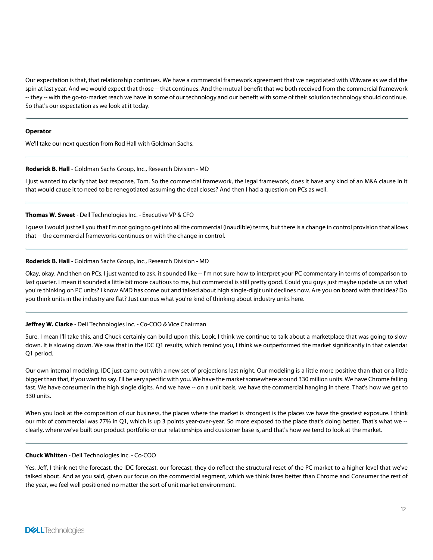Our expectation is that, that relationship continues. We have a commercial framework agreement that we negotiated with VMware as we did the spin at last year. And we would expect that those -- that continues. And the mutual benefit that we both received from the commercial framework -- they -- with the go-to-market reach we have in some of our technology and our benefit with some of their solution technology should continue. So that's our expectation as we look at it today.

#### **Operator**

We'll take our next question from Rod Hall with Goldman Sachs.

## Roderick B. Hall - Goldman Sachs Group, Inc., Research Division - MD

I just wanted to clarify that last response, Tom. So the commercial framework, the legal framework, does it have any kind of an M&A clause in it that would cause it to need to be renegotiated assuming the deal closes? And then I had a question on PCs as well.

# Thomas W. Sweet - Dell Technologies Inc. - Executive VP & CFO

I guess I would just tell you that I'm not going to get into all the commercial (inaudible) terms, but there is a change in control provision that allows that -- the commercial frameworks continues on with the change in control.

## Roderick B. Hall - Goldman Sachs Group, Inc., Research Division - MD

Okay, okay. And then on PCs, I just wanted to ask, it sounded like -- I'm not sure how to interpret your PC commentary in terms of comparison to last quarter. I mean it sounded a little bit more cautious to me, but commercial is still pretty good. Could you guys just maybe update us on what you're thinking on PC units? I know AMD has come out and talked about high single-digit unit declines now. Are you on board with that idea? Do you think units in the industry are flat? Just curious what you're kind of thinking about industry units here.

# Jeffrey W. Clarke - Dell Technologies Inc. - Co-COO & Vice Chairman

Sure. I mean I'll take this, and Chuck certainly can build upon this. Look, I think we continue to talk about a marketplace that was going to slow down. It is slowing down. We saw that in the IDC Q1 results, which remind you, I think we outperformed the market significantly in that calendar Q1 period.

Our own internal modeling, IDC just came out with a new set of projections last night. Our modeling is a little more positive than that or a little bigger than that, if you want to say. I'll be very specific with you. We have the market somewhere around 330 million units. We have Chrome falling fast. We have consumer in the high single digits. And we have -- on a unit basis, we have the commercial hanging in there. That's how we get to 330 units.

When you look at the composition of our business, the places where the market is strongest is the places we have the greatest exposure. I think our mix of commercial was 77% in Q1, which is up 3 points year-over-year. So more exposed to the place that's doing better. That's what we - clearly, where we've built our product portfolio or our relationships and customer base is, and that's how we tend to look at the market.

# Chuck Whitten - Dell Technologies Inc. - Co-COO

Yes, Jeff, I think net the forecast, the IDC forecast, our forecast, they do reflect the structural reset of the PC market to a higher level that we've talked about. And as you said, given our focus on the commercial segment, which we think fares better than Chrome and Consumer the rest of the year, we feel well positioned no matter the sort of unit market environment.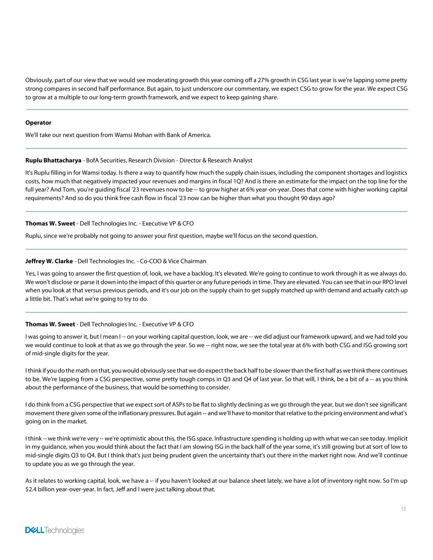Obviously, part of our view that we would see moderating growth this year coming off a 27% growth in CSG last year is we're lapping some pretty strong compares in second half performance. But again, to just underscore our commentary, we expect CSG to grow for the year. We expect CSG to grow at a multiple to our long-term growth framework, and we expect to keep gaining share.

#### **Operator**

We'll take our next question from Wamsi Mohan with Bank of America.

#### Ruplu Bhattacharya - BofA Securities, Research Division - Director & Research Analyst

It's Ruplu filling in for Wamsi today. Is there a way to quantify how much the supply chain issues, including the component shortages and logistics costs, how much that negatively impacted your revenues and margins in fiscal 1Q? And is there an estimate for the impact on the top line for the full year? And Tom, you're guiding fiscal '23 revenues now to be -- to grow higher at 6% year-on-year. Does that come with higher working capital requirements? And so do you think free cash flow in fiscal '23 now can be higher than what you thought 90 days ago?

#### Thomas W. Sweet - Dell Technologies Inc. - Executive VP & CFO

Ruplu, since we're probably not going to answer your first question, maybe we'll focus on the second question.

## Jeffrey W. Clarke - Dell Technologies Inc. - Co-COO & Vice Chairman

Yes, I was going to answer the first question of, look, we have a backlog. It's elevated. We're going to continue to work through it as we always do. We won't disclose or parse it down into the impact of this quarter or any future periods in time. They are elevated. You can see that in our RPO level when you look at that versus previous periods, and it's our job on the supply chain to get supply matched up with demand and actually catch up a little bit. That's what we're going to try to do.

#### Thomas W. Sweet - Dell Technologies Inc. - Executive VP & CFO

I was going to answer it, but I mean I -- on your working capital question, look, we are -- we did adjust our framework upward, and we had told you we would continue to look at that as we go through the year. So we -- right now, we see the total year at 6% with both CSG and ISG growing sort of mid-single digits for the year.

Ithink if you do the math on that, you would obviously see that we do expect the back half to be slower than the first half as we think there continues to be. We're lapping from a CSG perspective, some pretty tough comps in Q3 and Q4 of last year. So that will, I think, be a bit of a -- as you think about the performance of the business, that would be something to consider.

I do think from a CSG perspective that we expect sort of ASPs to be flat to slightly declining as we go through the year, but we don't see significant movement there given some of the inflationary pressures. But again -- and we'll have to monitor that relative to the pricing environment and what's going on in the market.

I think -- we think we're very -- we're optimistic about this, the ISG space. Infrastructure spending is holding up with what we can see today. Implicit in my guidance, when you would think about the fact that I am slowing ISG in the back half of the year some, it's still growing but at sort of low to mid-single digits Q3 to Q4. But I think that's just being prudent given the uncertainty that's out there in the market right now. And we'll continue to update you as we go through the year.

As it relates to working capital, look, we have a -- if you haven't looked at our balance sheet lately, we have a lot of inventory right now. So I'm up \$2.4 billion year-over-year. In fact, Jeff and I were just talking about that.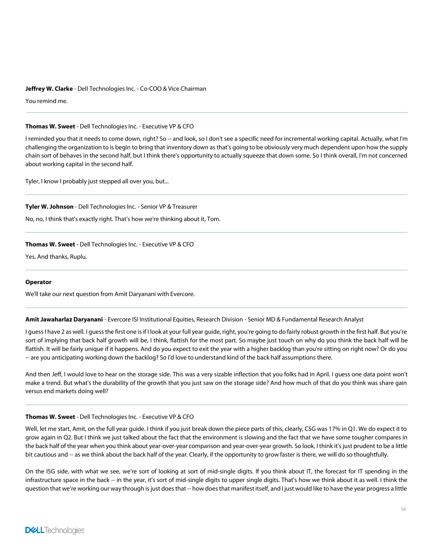#### Jeffrey W. Clarke - Dell Technologies Inc. - Co-COO & Vice Chairman

You remind me.

#### Thomas W. Sweet - Dell Technologies Inc. - Executive VP & CFO

I reminded you that it needs to come down, right? So -- and look, so I don't see a specific need for incremental working capital. Actually, what I'm challenging the organization to is begin to bring that inventory down as that's going to be obviously very much dependent upon how the supply chain sort of behaves in the second half, but I think there's opportunity to actually squeeze that down some. So I think overall, I'm not concerned about working capital in the second half.

Tyler, I know I probably just stepped all over you, but...

#### Tyler W. Johnson - Dell Technologies Inc. - Senior VP & Treasurer

No, no, I think that's exactly right. That's how we're thinking about it, Tom.

# Thomas W. Sweet - Dell Technologies Inc. - Executive VP & CFO

Yes. And thanks, Ruplu.

#### Operator

We'll take our next question from Amit Daryanani with Evercore.

Amit Jawaharlaz Daryanani - Evercore ISI Institutional Equities, Research Division - Senior MD & Fundamental Research Analyst

I guess I have 2 as well. I guess the first one is if I look at your full year guide, right, you're going to do fairly robust growth in the first half. But you're sort of implying that back half growth will be, I think, flattish for the most part. So maybe just touch on why do you think the back half will be flattish. It will be fairly unique if it happens. And do you expect to exit the year with a higher backlog than you're sitting on right now? Or do you -- are you anticipating working down the backlog? So I'd love to understand kind of the back half assumptions there.

And then Jeff, I would love to hear on the storage side. This was a very sizable inflection that you folks had in April. I guess one data point won't make a trend. But what's the durability of the growth that you just saw on the storage side? And how much of that do you think was share gain versus end markets doing well?

#### Thomas W. Sweet - Dell Technologies Inc. - Executive VP & CFO

Well, let me start, Amit, on the full year guide. I think if you just break down the piece parts of this, clearly, CSG was 17% in Q1. We do expect it to grow again in Q2. But I think we just talked about the fact that the environment is slowing and the fact that we have some tougher compares in the back half of the year when you think about year-over-year comparison and year-over-year growth. So look, I think it's just prudent to be a little bit cautious and -- as we think about the back half of the year. Clearly, if the opportunity to grow faster is there, we will do so thoughtfully.

On the ISG side, with what we see, we're sort of looking at sort of mid-single digits. If you think about IT, the forecast for IT spending in the infrastructure space in the back -- in the year, it's sort of mid-single digits to upper single digits. That's how we think about it as well. I think the question that we're working our way through is just does that -- how does that manifest itself, and I just would like to have the year progress a little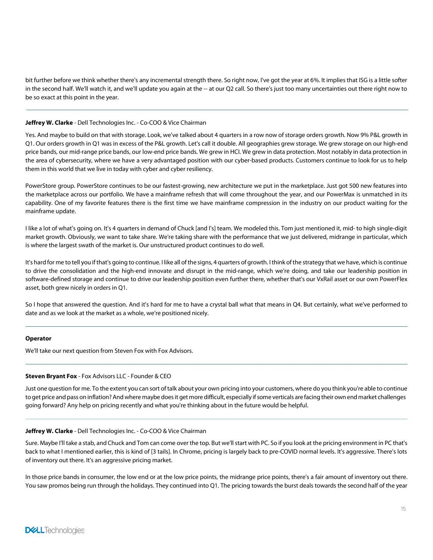bit further before we think whether there's any incremental strength there. So right now, I've got the year at 6%. It implies that ISG is a little softer in the second half. We'll watch it, and we'll update you again at the -- at our Q2 call. So there's just too many uncertainties out there right now to be so exact at this point in the year.

## Jeffrey W. Clarke - Dell Technologies Inc. - Co-COO & Vice Chairman

Yes. And maybe to build on that with storage. Look, we've talked about 4 quarters in a row now of storage orders growth. Now 9% P&L growth in Q1. Our orders growth in Q1 was in excess of the P&L growth. Let's call it double. All geographies grew storage. We grew storage on our high-end price bands, our mid-range price bands, our low-end price bands. We grew in HCI. We grew in data protection. Most notably in data protection in the area of cybersecurity, where we have a very advantaged position with our cyber-based products. Customers continue to look for us to help them in this world that we live in today with cyber and cyber resiliency.

PowerStore group. PowerStore continues to be our fastest-growing, new architecture we put in the marketplace. Just got 500 new features into the marketplace across our portfolio. We have a mainframe refresh that will come throughout the year, and our PowerMax is unmatched in its capability. One of my favorite features there is the first time we have mainframe compression in the industry on our product waiting for the mainframe update.

I like a lot of what's going on. It's 4 quarters in demand of Chuck [and I's] team. We modeled this. Tom just mentioned it, mid- to high single-digit market growth. Obviously, we want to take share. We're taking share with the performance that we just delivered, midrange in particular, which is where the largest swath of the market is. Our unstructured product continues to do well.

It's hard for me to tell you if that's going to continue. I like all of the signs, 4 quarters of growth. I think of the strategy that we have, which is continue to drive the consolidation and the high-end innovate and disrupt in the mid-range, which we're doing, and take our leadership position in software-defined storage and continue to drive our leadership position even further there, whether that's our VxRail asset or our own PowerFlex asset, both grew nicely in orders in Q1.

So I hope that answered the question. And it's hard for me to have a crystal ball what that means in Q4. But certainly, what we've performed to date and as we look at the market as a whole, we're positioned nicely.

#### Operator

We'll take our next question from Steven Fox with Fox Advisors.

#### Steven Bryant Fox - Fox Advisors LLC - Founder & CEO

Just one question for me. To the extent you can sort oftalk about your own pricing into your customers, where do you think you're able to continue to get price and pass on inflation? And where maybe does it get more difficult, especially if some verticals are facing their own end market challenges going forward? Any help on pricing recently and what you're thinking about in the future would be helpful.

#### Jeffrey W. Clarke - Dell Technologies Inc. - Co-COO & Vice Chairman

Sure. Maybe I'll take a stab, and Chuck and Tom can come over the top. But we'llstart with PC. So if you look at the pricing environment in PC that's back to what I mentioned earlier, this is kind of [3 tails]. In Chrome, pricing is largely back to pre-COVID normal levels. It's aggressive. There's lots of inventory out there. It's an aggressive pricing market.

In those price bands in consumer, the low end or at the low price points, the midrange price points, there's a fair amount of inventory out there. You saw promos being run through the holidays. They continued into Q1. The pricing towards the burst deals towards the second half of the year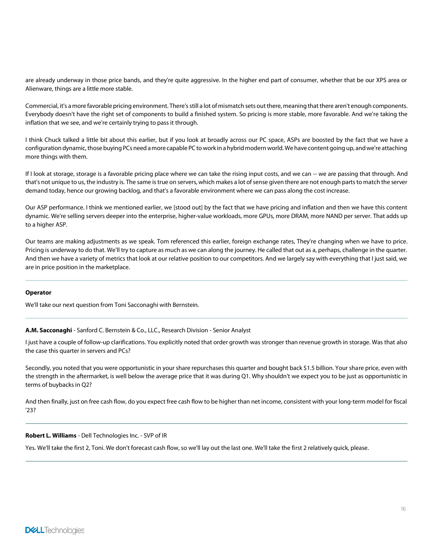are already underway in those price bands, and they're quite aggressive. In the higher end part of consumer, whether that be our XPS area or Alienware, things are a little more stable.

Commercial, it's a more favorable pricing environment. There's still a lot of mismatch sets out there, meaning that there aren't enough components. Everybody doesn't have the right set of components to build a finished system. So pricing is more stable, more favorable. And we're taking the inflation that we see, and we're certainly trying to pass it through.

I think Chuck talked a little bit about this earlier, but if you look at broadly across our PC space, ASPs are boosted by the fact that we have a configuration dynamic, those buying PCs need a more capable PC to work in a hybrid modern world. We have content going up, and we're attaching more things with them.

If I look at storage, storage is a favorable pricing place where we can take the rising input costs, and we can -- we are passing that through. And that's not unique to us, the industry is. The same is true on servers, which makes a lot of sense given there are not enough parts to match the server demand today, hence our growing backlog, and that's a favorable environment where we can pass along the cost increase.

Our ASP performance. I think we mentioned earlier, we [stood out] by the fact that we have pricing and inflation and then we have this content dynamic. We're selling servers deeper into the enterprise, higher-value workloads, more GPUs, more DRAM, more NAND per server. That adds up to a higher ASP.

Our teams are making adjustments as we speak. Tom referenced this earlier, foreign exchange rates, They're changing when we have to price. Pricing is underway to do that. We'll try to capture as much as we can along the journey. He called that out as a, perhaps, challenge in the quarter. And then we have a variety of metrics that look at our relative position to our competitors. And we largely say with everything that I just said, we are in price position in the marketplace.

# Operator

We'll take our next question from Toni Sacconaghi with Bernstein.

A.M. Sacconaghi - Sanford C. Bernstein & Co., LLC., Research Division - Senior Analyst

I just have a couple of follow-up clarifications. You explicitly noted that order growth was stronger than revenue growth in storage. Was that also the case this quarter in servers and PCs?

Secondly, you noted that you were opportunistic in your share repurchases this quarter and bought back \$1.5 billion. Your share price, even with the strength in the aftermarket, is well below the average price that it was during Q1. Why shouldn't we expect you to be just as opportunistic in terms of buybacks in Q2?

And then finally, just on free cash flow, do you expect free cash flow to be higher than net income, consistent with your long-term model for fiscal '23?

# Robert L. Williams - Dell Technologies Inc. - SVP of IR

Yes. We'll take the first 2, Toni. We don't forecast cash flow, so we'll lay out the last one. We'll take the first 2 relatively quick, please.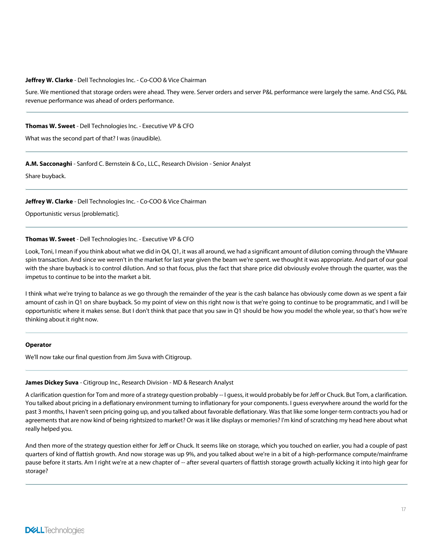#### Jeffrey W. Clarke - Dell Technologies Inc. - Co-COO & Vice Chairman

Sure. We mentioned that storage orders were ahead. They were. Server orders and server P&L performance were largely the same. And CSG, P&L revenue performance was ahead of orders performance.

#### Thomas W. Sweet - Dell Technologies Inc. - Executive VP & CFO

What was the second part of that? I was (inaudible).

#### A.M. Sacconaghi - Sanford C. Bernstein & Co., LLC., Research Division - Senior Analyst

Share buyback.

#### Jeffrey W. Clarke - Dell Technologies Inc. - Co-COO & Vice Chairman

Opportunistic versus [problematic].

#### Thomas W. Sweet - Dell Technologies Inc. - Executive VP & CFO

Look, Toni, I mean if you think about what we did in Q4, Q1, it was all around, we had a significant amount of dilution coming through the VMware spin transaction. And since we weren't in the market for last year given the beam we're spent. we thought it was appropriate. And part of our goal with the share buyback is to control dilution. And so that focus, plus the fact that share price did obviously evolve through the quarter, was the impetus to continue to be into the market a bit.

I think what we're trying to balance as we go through the remainder of the year is the cash balance has obviously come down as we spent a fair amount of cash in Q1 on share buyback. So my point of view on this right now is that we're going to continue to be programmatic, and I will be opportunistic where it makes sense. But I don't think that pace that you saw in Q1 should be how you model the whole year, so that's how we're thinking about it right now.

#### **Operator**

We'll now take our final question from Jim Suva with Citigroup.

#### James Dickey Suva - Citigroup Inc., Research Division - MD & Research Analyst

A clarification question for Tom and more of a strategy question probably -- I guess, it would probably be for Jeff or Chuck. But Tom, a clarification. You talked about pricing in a deflationary environment turning to inflationary for your components. I guess everywhere around the world for the past 3 months, I haven't seen pricing going up, and you talked about favorable deflationary. Was that like some longer-term contracts you had or agreements that are now kind of being rightsized to market? Or was it like displays or memories? I'm kind of scratching my head here about what really helped you.

And then more of the strategy question either for Jeff or Chuck. It seems like on storage, which you touched on earlier, you had a couple of past quarters of kind of flattish growth. And now storage was up 9%, and you talked about we're in a bit of a high-performance compute/mainframe pause before it starts. Am I right we're at a new chapter of -- after several quarters of flattish storage growth actually kicking it into high gear for storage?